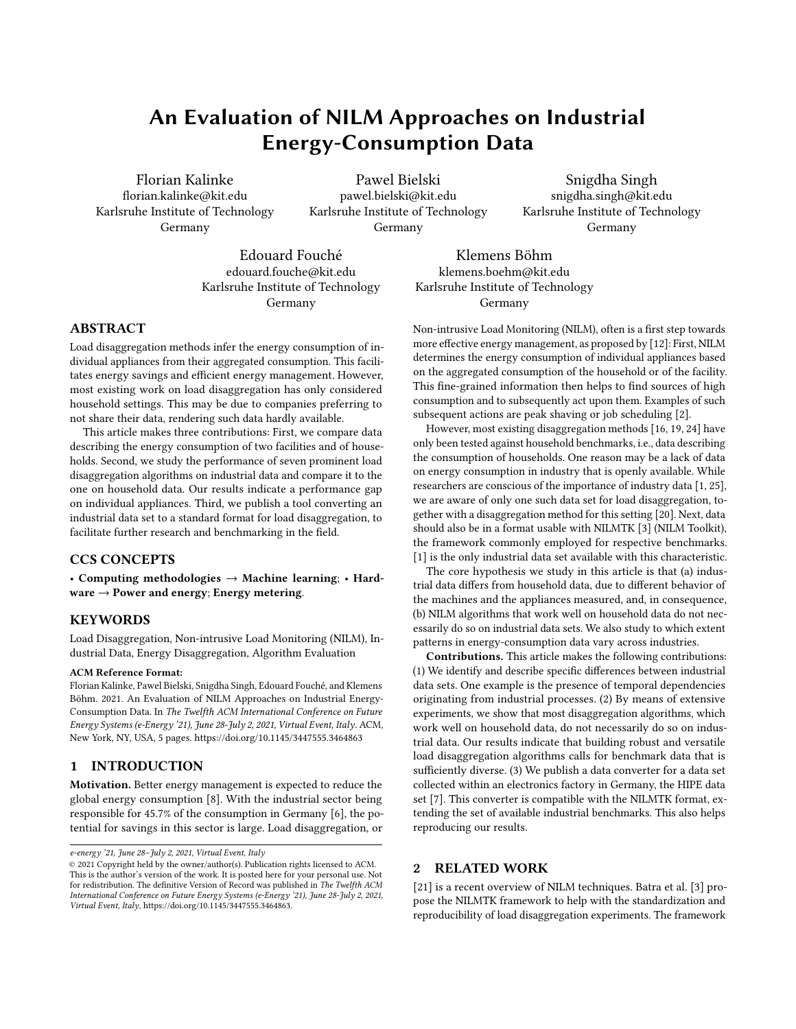# An Evaluation of NILM Approaches on Industrial Energy-Consumption Data

Florian Kalinke florian.kalinke@kit.edu Karlsruhe Institute of Technology Germany

Pawel Bielski pawel.bielski@kit.edu Karlsruhe Institute of Technology Germany

Snigdha Singh snigdha.singh@kit.edu Karlsruhe Institute of Technology Germany

Edouard Fouché edouard.fouche@kit.edu Karlsruhe Institute of Technology Germany

Klemens Böhm klemens.boehm@kit.edu Karlsruhe Institute of Technology Germany

## ABSTRACT

Load disaggregation methods infer the energy consumption of individual appliances from their aggregated consumption. This facilitates energy savings and efficient energy management. However, most existing work on load disaggregation has only considered household settings. This may be due to companies preferring to not share their data, rendering such data hardly available.

This article makes three contributions: First, we compare data describing the energy consumption of two facilities and of households. Second, we study the performance of seven prominent load disaggregation algorithms on industrial data and compare it to the one on household data. Our results indicate a performance gap on individual appliances. Third, we publish a tool converting an industrial data set to a standard format for load disaggregation, to facilitate further research and benchmarking in the field.

## CCS CONCEPTS

• Computing methodologies  $\rightarrow$  Machine learning; • Hardware  $\rightarrow$  Power and energy; Energy metering.

## **KEYWORDS**

Load Disaggregation, Non-intrusive Load Monitoring (NILM), Industrial Data, Energy Disaggregation, Algorithm Evaluation

#### ACM Reference Format:

Florian Kalinke, Pawel Bielski, Snigdha Singh, Edouard Fouché, and Klemens Böhm. 2021. An Evaluation of NILM Approaches on Industrial Energy-Consumption Data. In The Twelfth ACM International Conference on Future Energy Systems (e-Energy '21), June 28-July 2, 2021, Virtual Event, Italy. ACM, New York, NY, USA, [5](#page-4-0) pages.<https://doi.org/10.1145/3447555.3464863>

## 1 INTRODUCTION

Motivation. Better energy management is expected to reduce the global energy consumption [\[8\]](#page-3-0). With the industrial sector being responsible for 45.7% of the consumption in Germany [\[6\]](#page-3-1), the potential for savings in this sector is large. Load disaggregation, or

Non-intrusive Load Monitoring (NILM), often is a first step towards more effective energy management, as proposed by [\[12\]](#page-3-2): First, NILM determines the energy consumption of individual appliances based on the aggregated consumption of the household or of the facility. This fine-grained information then helps to find sources of high consumption and to subsequently act upon them. Examples of such subsequent actions are peak shaving or job scheduling [\[2\]](#page-3-3).

However, most existing disaggregation methods [\[16,](#page-3-4) [19,](#page-3-5) [24\]](#page-3-6) have only been tested against household benchmarks, i.e., data describing the consumption of households. One reason may be a lack of data on energy consumption in industry that is openly available. While researchers are conscious of the importance of industry data [\[1,](#page-3-7) [25\]](#page-3-8), we are aware of only one such data set for load disaggregation, together with a disaggregation method for this setting [\[20\]](#page-3-9). Next, data should also be in a format usable with NILMTK [\[3\]](#page-3-10) (NILM Toolkit), the framework commonly employed for respective benchmarks. [\[1\]](#page-3-7) is the only industrial data set available with this characteristic.

The core hypothesis we study in this article is that (a) industrial data differs from household data, due to different behavior of the machines and the appliances measured, and, in consequence, (b) NILM algorithms that work well on household data do not necessarily do so on industrial data sets. We also study to which extent patterns in energy-consumption data vary across industries.

Contributions. This article makes the following contributions: (1) We identify and describe specific differences between industrial data sets. One example is the presence of temporal dependencies originating from industrial processes. (2) By means of extensive experiments, we show that most disaggregation algorithms, which work well on household data, do not necessarily do so on industrial data. Our results indicate that building robust and versatile load disaggregation algorithms calls for benchmark data that is sufficiently diverse. (3) We publish a data converter for a data set collected within an electronics factory in Germany, the HIPE data set [\[7\]](#page-3-11). This converter is compatible with the NILMTK format, extending the set of available industrial benchmarks. This also helps reproducing our results.

## 2 RELATED WORK

[\[21\]](#page-3-12) is a recent overview of NILM techniques. Batra et al. [\[3\]](#page-3-10) propose the NILMTK framework to help with the standardization and reproducibility of load disaggregation experiments. The framework

e-energy '21, June 28–July 2, 2021, Virtual Event, Italy

<sup>©</sup> 2021 Copyright held by the owner/author(s). Publication rights licensed to ACM. This is the author's version of the work. It is posted here for your personal use. Not for redistribution. The definitive Version of Record was published in The Twelfth ACM International Conference on Future Energy Systems (e-Energy '21), June 28-July 2, 2021, Virtual Event, Italy, [https://doi.org/10.1145/3447555.3464863.](https://doi.org/10.1145/3447555.3464863)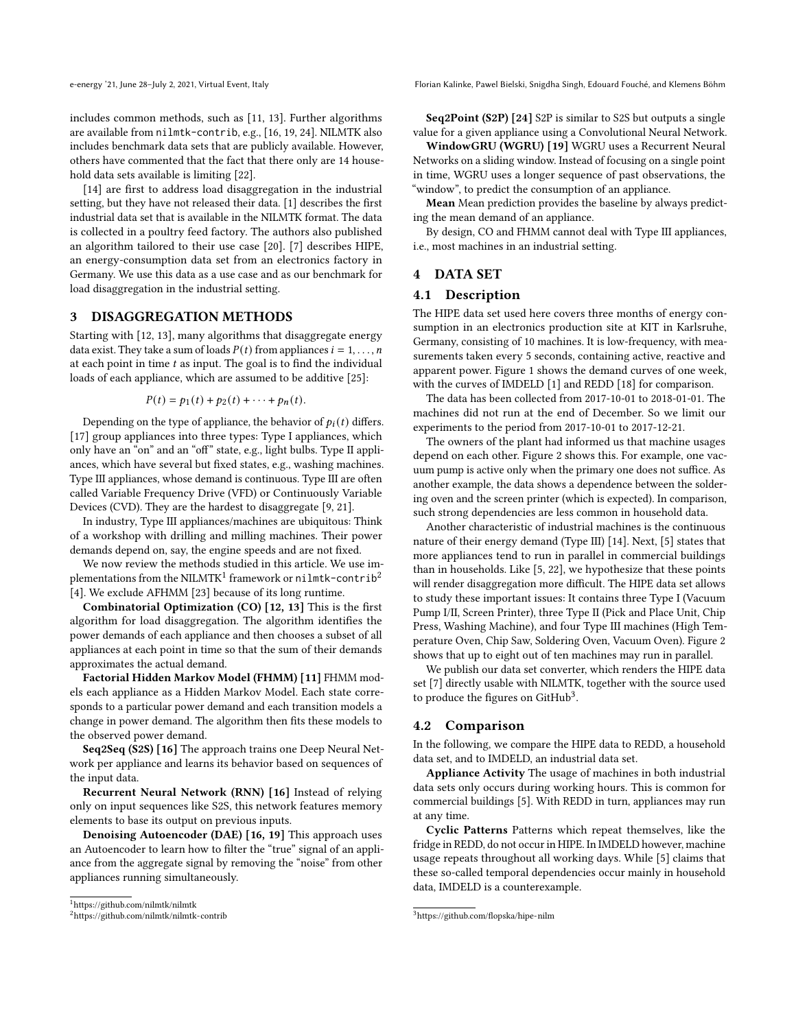includes common methods, such as [\[11,](#page-3-13) [13\]](#page-3-14). Further algorithms are available from nilmtk-contrib, e.g., [\[16,](#page-3-4) [19,](#page-3-5) [24\]](#page-3-6). NILMTK also includes benchmark data sets that are publicly available. However, others have commented that the fact that there only are 14 household data sets available is limiting [\[22\]](#page-3-15).

[\[14\]](#page-3-16) are first to address load disaggregation in the industrial setting, but they have not released their data. [\[1\]](#page-3-7) describes the first industrial data set that is available in the NILMTK format. The data is collected in a poultry feed factory. The authors also published an algorithm tailored to their use case [\[20\]](#page-3-9). [\[7\]](#page-3-11) describes HIPE, an energy-consumption data set from an electronics factory in Germany. We use this data as a use case and as our benchmark for load disaggregation in the industrial setting.

## 3 DISAGGREGATION METHODS

Starting with [\[12,](#page-3-2) [13\]](#page-3-14), many algorithms that disaggregate energy data exist. They take a sum of loads  $P(t)$  from appliances  $i = 1, \ldots, n$ at each point in time  $t$  as input. The goal is to find the individual loads of each appliance, which are assumed to be additive [\[25\]](#page-3-8):

$$
P(t) = p_1(t) + p_2(t) + \cdots + p_n(t).
$$

Depending on the type of appliance, the behavior of  $p_i(t)$  differs. [\[17\]](#page-3-17) group appliances into three types: Type I appliances, which only have an "on" and an "off" state, e.g., light bulbs. Type II appliances, which have several but fixed states, e.g., washing machines. Type III appliances, whose demand is continuous. Type III are often called Variable Frequency Drive (VFD) or Continuously Variable Devices (CVD). They are the hardest to disaggregate [\[9,](#page-3-18) [21\]](#page-3-12).

In industry, Type III appliances/machines are ubiquitous: Think of a workshop with drilling and milling machines. Their power demands depend on, say, the engine speeds and are not fixed.

We now review the methods studied in this article. We use implementations from the NILMTK $^1$  $^1$  framework or <code>nilmtk-contrib $^2$  $^2$ </code> [\[4\]](#page-3-19). We exclude AFHMM [\[23\]](#page-3-20) because of its long runtime.

Combinatorial Optimization (CO) [\[12,](#page-3-2) [13\]](#page-3-14) This is the first algorithm for load disaggregation. The algorithm identifies the power demands of each appliance and then chooses a subset of all appliances at each point in time so that the sum of their demands approximates the actual demand.

Factorial Hidden Markov Model (FHMM) [\[11\]](#page-3-13) FHMM models each appliance as a Hidden Markov Model. Each state corresponds to a particular power demand and each transition models a change in power demand. The algorithm then fits these models to the observed power demand.

Seq2Seq (S2S) [\[16\]](#page-3-4) The approach trains one Deep Neural Network per appliance and learns its behavior based on sequences of the input data.

Recurrent Neural Network (RNN) [\[16\]](#page-3-4) Instead of relying only on input sequences like S2S, this network features memory elements to base its output on previous inputs.

Denoising Autoencoder (DAE) [\[16,](#page-3-4) [19\]](#page-3-5) This approach uses an Autoencoder to learn how to filter the "true" signal of an appliance from the aggregate signal by removing the "noise" from other appliances running simultaneously.

e-energy '21, June 28-July 2, 2021, Virtual Event, Italy Florian Kalinke, Pawel Bielski, Snigdha Singh, Edouard Fouché, and Klemens Böhm

Seq2Point (S2P) [\[24\]](#page-3-6) S2P is similar to S2S but outputs a single value for a given appliance using a Convolutional Neural Network.

WindowGRU (WGRU) [\[19\]](#page-3-5) WGRU uses a Recurrent Neural Networks on a sliding window. Instead of focusing on a single point in time, WGRU uses a longer sequence of past observations, the "window", to predict the consumption of an appliance.

Mean Mean prediction provides the baseline by always predicting the mean demand of an appliance.

By design, CO and FHMM cannot deal with Type III appliances, i.e., most machines in an industrial setting.

#### 4 DATA SET

#### 4.1 Description

The HIPE data set used here covers three months of energy consumption in an electronics production site at KIT in Karlsruhe, Germany, consisting of 10 machines. It is low-frequency, with measurements taken every 5 seconds, containing active, reactive and apparent power. Figure [1](#page-2-0) shows the demand curves of one week, with the curves of IMDELD [\[1\]](#page-3-7) and REDD [\[18\]](#page-3-21) for comparison.

The data has been collected from 2017-10-01 to 2018-01-01. The machines did not run at the end of December. So we limit our experiments to the period from 2017-10-01 to 2017-12-21.

The owners of the plant had informed us that machine usages depend on each other. Figure [2](#page-2-1) shows this. For example, one vacuum pump is active only when the primary one does not suffice. As another example, the data shows a dependence between the soldering oven and the screen printer (which is expected). In comparison, such strong dependencies are less common in household data.

Another characteristic of industrial machines is the continuous nature of their energy demand (Type III) [\[14\]](#page-3-16). Next, [\[5\]](#page-3-22) states that more appliances tend to run in parallel in commercial buildings than in households. Like [\[5,](#page-3-22) [22\]](#page-3-15), we hypothesize that these points will render disaggregation more difficult. The HIPE data set allows to study these important issues: It contains three Type I (Vacuum Pump I/II, Screen Printer), three Type II (Pick and Place Unit, Chip Press, Washing Machine), and four Type III machines (High Temperature Oven, Chip Saw, Soldering Oven, Vacuum Oven). Figure [2](#page-2-1) shows that up to eight out of ten machines may run in parallel.

We publish our data set converter, which renders the HIPE data set [\[7\]](#page-3-11) directly usable with NILMTK, together with the source used to produce the figures on GitHub<sup>[3](#page-1-2)</sup>.

#### 4.2 Comparison

In the following, we compare the HIPE data to REDD, a household data set, and to IMDELD, an industrial data set.

Appliance Activity The usage of machines in both industrial data sets only occurs during working hours. This is common for commercial buildings [\[5\]](#page-3-22). With REDD in turn, appliances may run at any time.

Cyclic Patterns Patterns which repeat themselves, like the fridge in REDD, do not occur in HIPE. In IMDELD however, machine usage repeats throughout all working days. While [\[5\]](#page-3-22) claims that these so-called temporal dependencies occur mainly in household data, IMDELD is a counterexample.

<span id="page-1-0"></span><sup>1</sup><https://github.com/nilmtk/nilmtk>

<span id="page-1-1"></span><sup>2</sup><https://github.com/nilmtk/nilmtk-contrib>

<span id="page-1-2"></span><sup>3</sup><https://github.com/flopska/hipe-nilm>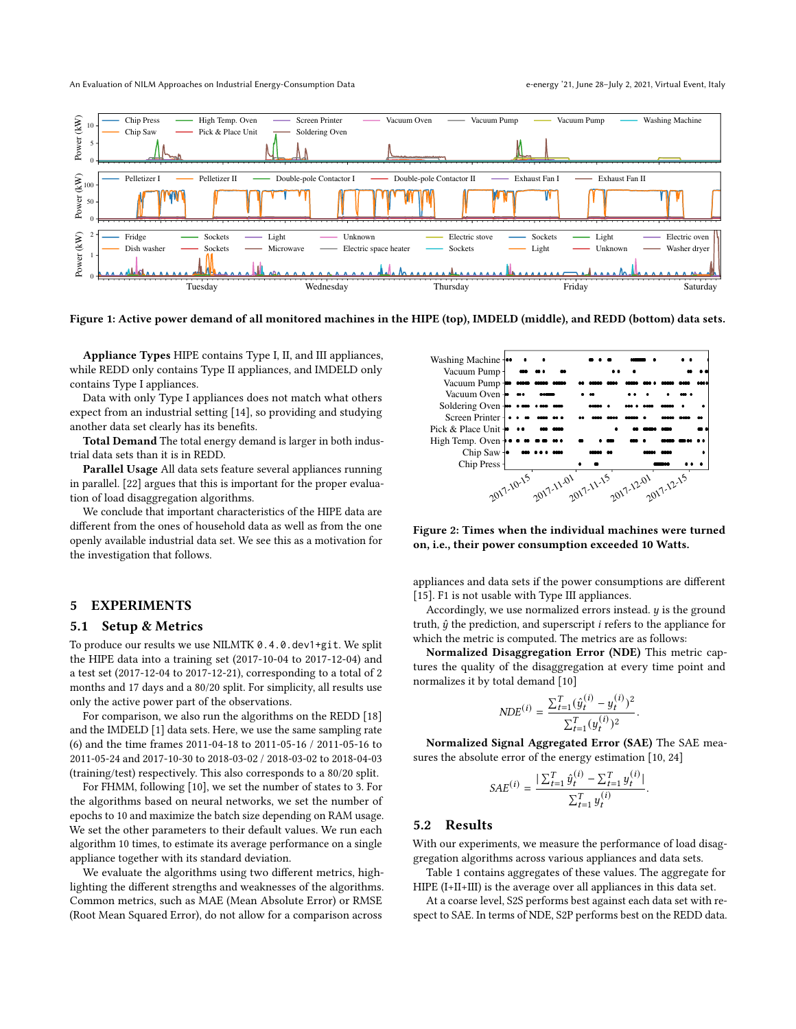<span id="page-2-0"></span>

Figure 1: Active power demand of all monitored machines in the HIPE (top), IMDELD (middle), and REDD (bottom) data sets.

Appliance Types HIPE contains Type I, II, and III appliances, while REDD only contains Type II appliances, and IMDELD only contains Type I appliances.

Data with only Type I appliances does not match what others expect from an industrial setting [\[14\]](#page-3-16), so providing and studying another data set clearly has its benefits.

Total Demand The total energy demand is larger in both industrial data sets than it is in REDD.

Parallel Usage All data sets feature several appliances running in parallel. [\[22\]](#page-3-15) argues that this is important for the proper evaluation of load disaggregation algorithms.

We conclude that important characteristics of the HIPE data are different from the ones of household data as well as from the one openly available industrial data set. We see this as a motivation for the investigation that follows.

#### 5 EXPERIMENTS

#### 5.1 Setup & Metrics

To produce our results we use NILMTK 0.4.0.dev1+git. We split the HIPE data into a training set (2017-10-04 to 2017-12-04) and a test set (2017-12-04 to 2017-12-21), corresponding to a total of 2 months and 17 days and a 80/20 split. For simplicity, all results use only the active power part of the observations.

For comparison, we also run the algorithms on the REDD [\[18\]](#page-3-21) and the IMDELD [\[1\]](#page-3-7) data sets. Here, we use the same sampling rate (6) and the time frames 2011-04-18 to 2011-05-16 / 2011-05-16 to 2011-05-24 and 2017-10-30 to 2018-03-02 / 2018-03-02 to 2018-04-03 (training/test) respectively. This also corresponds to a 80/20 split.

For FHMM, following [\[10\]](#page-3-23), we set the number of states to 3. For the algorithms based on neural networks, we set the number of epochs to 10 and maximize the batch size depending on RAM usage. We set the other parameters to their default values. We run each algorithm 10 times, to estimate its average performance on a single appliance together with its standard deviation.

We evaluate the algorithms using two different metrics, highlighting the different strengths and weaknesses of the algorithms. Common metrics, such as MAE (Mean Absolute Error) or RMSE (Root Mean Squared Error), do not allow for a comparison across

<span id="page-2-1"></span>

Figure 2: Times when the individual machines were turned on, i.e., their power consumption exceeded 10 Watts.

appliances and data sets if the power consumptions are different [\[15\]](#page-3-24). F1 is not usable with Type III appliances.

Accordingly, we use normalized errors instead.  $y$  is the ground truth,  $\hat{y}$  the prediction, and superscript *i* refers to the appliance for which the metric is computed. The metrics are as follows:

Normalized Disaggregation Error (NDE) This metric captures the quality of the disaggregation at every time point and normalizes it by total demand [\[10\]](#page-3-23)

$$
N\!D\!E^{(i)} = \frac{\sum_{t=1}^{T} (\hat{y}_t^{(i)} - y_t^{(i)})^2}{\sum_{t=1}^{T} (y_t^{(i)})^2}.
$$

Normalized Signal Aggregated Error (SAE) The SAE measures the absolute error of the energy estimation [\[10,](#page-3-23) [24\]](#page-3-6)

$$
SAE^{(i)} = \frac{\sum_{t=1}^{T} \hat{y}_t^{(i)} - \sum_{t=1}^{T} y_t^{(i)}}{\sum_{t=1}^{T} y_t^{(i)}}.
$$

#### 5.2 Results

With our experiments, we measure the performance of load disaggregation algorithms across various appliances and data sets.

Table [1](#page-3-25) contains aggregates of these values. The aggregate for HIPE (I+II+III) is the average over all appliances in this data set.

At a coarse level, S2S performs best against each data set with respect to SAE. In terms of NDE, S2P performs best on the REDD data.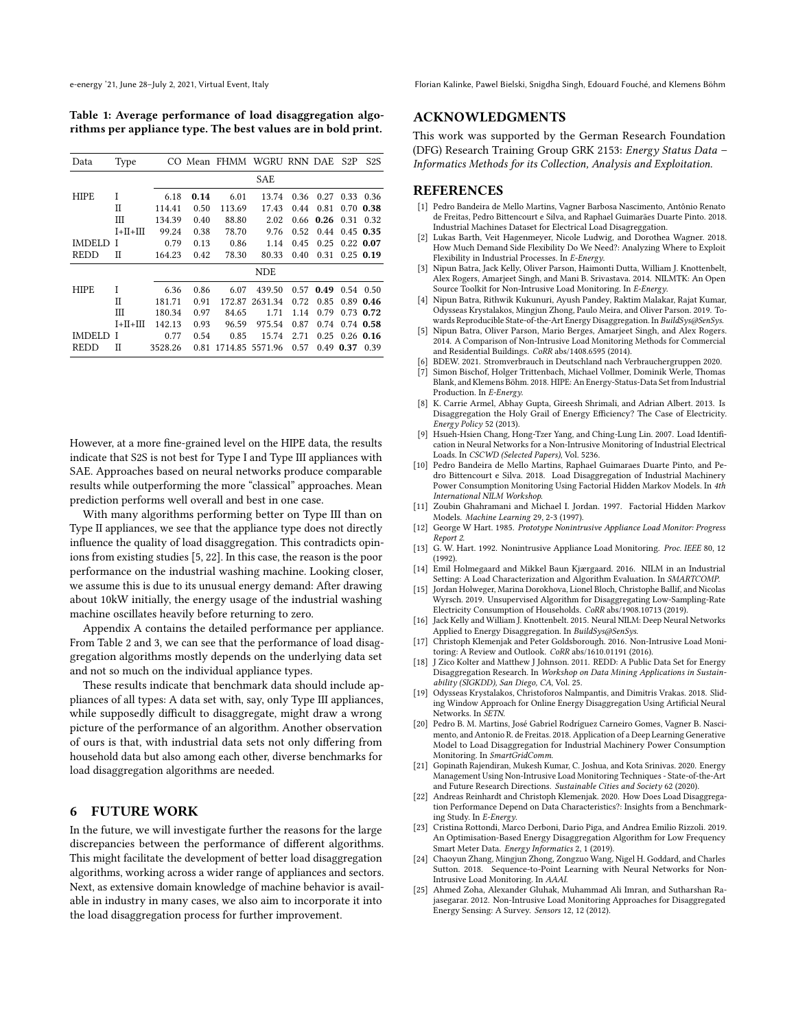<span id="page-3-25"></span>Table 1: Average performance of load disaggregation algorithms per appliance type. The best values are in bold print.

| Data          | Type           | CO.     |      | Mean FHMM | <b>WGRU</b> | RNN DAE |      | S <sub>2</sub> P | S <sub>2</sub> S |
|---------------|----------------|---------|------|-----------|-------------|---------|------|------------------|------------------|
|               |                |         |      |           | <b>SAE</b>  |         |      |                  |                  |
| <b>HIPE</b>   | I              | 6.18    | 0.14 | 6.01      | 13.74       | 0.36    | 0.27 | 0.33             | 0.36             |
|               | П              | 114.41  | 0.50 | 113.69    | 17.43       | 0.44    | 0.81 | 0.70             | 0.38             |
|               | Ш              | 134.39  | 0.40 | 88.80     | 2.02        | 0.66    | 0.26 | 0.31             | 0.32             |
|               | $I + II + III$ | 99.24   | 0.38 | 78.70     | 9.76        | 0.52    | 0.44 |                  | $0.45$ 0.35      |
| <b>IMDELD</b> | I              | 0.79    | 0.13 | 0.86      | 1.14        | 0.45    | 0.25 |                  | $0.22$ 0.07      |
| <b>REDD</b>   | П              | 164.23  | 0.42 | 78.30     | 80.33       | 0.40    | 0.31 |                  | $0.25$ 0.19      |
|               |                |         |      |           | <b>NDE</b>  |         |      |                  |                  |
| <b>HIPE</b>   | I              | 6.36    | 0.86 | 6.07      | 439.50      | 0.57    | 0.49 |                  | $0.54$ 0.50      |
|               | П              | 181.71  | 0.91 | 172.87    | 2631.34     | 0.72    | 0.85 |                  | $0.89$ 0.46      |
|               | Ш              | 180.34  | 0.97 | 84.65     | 1.71        | 1.14    | 0.79 |                  | $0.73$ 0.72      |
|               | $I + II + III$ | 142.13  | 0.93 | 96.59     | 975.54      | 0.87    | 0.74 |                  | $0.74$ 0.58      |
| <b>IMDELD</b> | I              | 0.77    | 0.54 | 0.85      | 15.74       | 2.71    | 0.25 |                  | $0.26$ 0.16      |
| <b>REDD</b>   | П              | 3528.26 | 0.81 | 1714.85   | 5571.96     | 0.57    | 0.49 | 0.37             | 0.39             |

However, at a more fine-grained level on the HIPE data, the results indicate that S2S is not best for Type I and Type III appliances with SAE. Approaches based on neural networks produce comparable results while outperforming the more "classical" approaches. Mean prediction performs well overall and best in one case.

With many algorithms performing better on Type III than on Type II appliances, we see that the appliance type does not directly influence the quality of load disaggregation. This contradicts opinions from existing studies [\[5,](#page-3-22) [22\]](#page-3-15). In this case, the reason is the poor performance on the industrial washing machine. Looking closer, we assume this is due to its unusual energy demand: After drawing about 10kW initially, the energy usage of the industrial washing machine oscillates heavily before returning to zero.

Appendix [A](#page-4-1) contains the detailed performance per appliance. From Table [2](#page-4-2) and [3,](#page-4-3) we can see that the performance of load disaggregation algorithms mostly depends on the underlying data set and not so much on the individual appliance types.

These results indicate that benchmark data should include appliances of all types: A data set with, say, only Type III appliances, while supposedly difficult to disaggregate, might draw a wrong picture of the performance of an algorithm. Another observation of ours is that, with industrial data sets not only differing from household data but also among each other, diverse benchmarks for load disaggregation algorithms are needed.

## 6 FUTURE WORK

In the future, we will investigate further the reasons for the large discrepancies between the performance of different algorithms. This might facilitate the development of better load disaggregation algorithms, working across a wider range of appliances and sectors. Next, as extensive domain knowledge of machine behavior is available in industry in many cases, we also aim to incorporate it into the load disaggregation process for further improvement.

#### ACKNOWLEDGMENTS

This work was supported by the German Research Foundation (DFG) Research Training Group GRK 2153: Energy Status Data – Informatics Methods for its Collection, Analysis and Exploitation.

#### REFERENCES

- <span id="page-3-7"></span>[1] Pedro Bandeira de Mello Martins, Vagner Barbosa Nascimento, Antônio Renato de Freitas, Pedro Bittencourt e Silva, and Raphael Guimarães Duarte Pinto. 2018. Industrial Machines Dataset for Electrical Load Disagreggation.
- <span id="page-3-3"></span>[2] Lukas Barth, Veit Hagenmeyer, Nicole Ludwig, and Dorothea Wagner. 2018. How Much Demand Side Flexibility Do We Need?: Analyzing Where to Exploit Flexibility in Industrial Processes. In E-Energy.
- <span id="page-3-10"></span>[3] Nipun Batra, Jack Kelly, Oliver Parson, Haimonti Dutta, William J. Knottenbelt, Alex Rogers, Amarjeet Singh, and Mani B. Srivastava. 2014. NILMTK: An Open Source Toolkit for Non-Intrusive Load Monitoring. In E-Energy.
- <span id="page-3-19"></span>[4] Nipun Batra, Rithwik Kukunuri, Ayush Pandey, Raktim Malakar, Rajat Kumar, Odysseas Krystalakos, Mingjun Zhong, Paulo Meira, and Oliver Parson. 2019. Towards Reproducible State-of-the-Art Energy Disaggregation. In BuildSys@SenSys.
- <span id="page-3-22"></span>[5] Nipun Batra, Oliver Parson, Mario Berges, Amarjeet Singh, and Alex Rogers. 2014. A Comparison of Non-Intrusive Load Monitoring Methods for Commercial and Residential Buildings. CoRR abs/1408.6595 (2014).
- <span id="page-3-1"></span>[6] BDEW. 2021. Stromverbrauch in Deutschland nach Verbrauchergruppen 2020.
- <span id="page-3-11"></span>[7] Simon Bischof, Holger Trittenbach, Michael Vollmer, Dominik Werle, Thomas Blank, and Klemens Böhm. 2018. HIPE: An Energy-Status-Data Set from Industrial Production. In E-Energy.
- <span id="page-3-0"></span>[8] K. Carrie Armel, Abhay Gupta, Gireesh Shrimali, and Adrian Albert. 2013. Is Disaggregation the Holy Grail of Energy Efficiency? The Case of Electricity. Energy Policy 52 (2013).
- <span id="page-3-18"></span>[9] Hsueh-Hsien Chang, Hong-Tzer Yang, and Ching-Lung Lin. 2007. Load Identification in Neural Networks for a Non-Intrusive Monitoring of Industrial Electrical Loads. In CSCWD (Selected Papers), Vol. 5236.
- <span id="page-3-23"></span>[10] Pedro Bandeira de Mello Martins, Raphael Guimaraes Duarte Pinto, and Pedro Bittencourt e Silva. 2018. Load Disaggregation of Industrial Machinery Power Consumption Monitoring Using Factorial Hidden Markov Models. In 4th International NILM Workshop.
- <span id="page-3-13"></span>[11] Zoubin Ghahramani and Michael I. Jordan. 1997. Factorial Hidden Markov Models. Machine Learning 29, 2-3 (1997).
- <span id="page-3-2"></span>[12] George W Hart. 1985. Prototype Nonintrusive Appliance Load Monitor: Progress Report 2.
- <span id="page-3-14"></span>[13] G. W. Hart. 1992. Nonintrusive Appliance Load Monitoring. Proc. IEEE 80, 12 (1992).
- <span id="page-3-16"></span>[14] Emil Holmegaard and Mikkel Baun Kjærgaard. 2016. NILM in an Industrial Setting: A Load Characterization and Algorithm Evaluation. In SMARTCOMP.
- <span id="page-3-24"></span>[15] Jordan Holweger, Marina Dorokhova, Lionel Bloch, Christophe Ballif, and Nicolas Wyrsch. 2019. Unsupervised Algorithm for Disaggregating Low-Sampling-Rate Electricity Consumption of Households. CoRR abs/1908.10713 (2019).
- <span id="page-3-4"></span>[16] Jack Kelly and William J. Knottenbelt. 2015. Neural NILM: Deep Neural Networks Applied to Energy Disaggregation. In BuildSys@SenSys.
- <span id="page-3-17"></span>[17] Christoph Klemenjak and Peter Goldsborough. 2016. Non-Intrusive Load Monitoring: A Review and Outlook. CoRR abs/1610.01191 (2016).
- <span id="page-3-21"></span>[18] J Zico Kolter and Matthew J Johnson. 2011. REDD: A Public Data Set for Energy Disaggregation Research. In Workshop on Data Mining Applications in Sustainability (SIGKDD), San Diego, CA, Vol. 25.
- <span id="page-3-5"></span>[19] Odysseas Krystalakos, Christoforos Nalmpantis, and Dimitris Vrakas. 2018. Sliding Window Approach for Online Energy Disaggregation Using Artificial Neural Networks. In SETN.
- <span id="page-3-9"></span>[20] Pedro B. M. Martins, José Gabriel Rodríguez Carneiro Gomes, Vagner B. Nascimento, and Antonio R. de Freitas. 2018. Application of a Deep Learning Generative Model to Load Disaggregation for Industrial Machinery Power Consumption Monitoring. In SmartGridComm.
- <span id="page-3-12"></span>[21] Gopinath Rajendiran, Mukesh Kumar, C. Joshua, and Kota Srinivas. 2020. Energy Management Using Non-Intrusive Load Monitoring Techniques - State-of-the-Art and Future Research Directions. Sustainable Cities and Society 62 (2020).
- <span id="page-3-15"></span>[22] Andreas Reinhardt and Christoph Klemenjak. 2020. How Does Load Disaggregation Performance Depend on Data Characteristics?: Insights from a Benchmarking Study. In E-Energy.
- <span id="page-3-20"></span>[23] Cristina Rottondi, Marco Derboni, Dario Piga, and Andrea Emilio Rizzoli. 2019. An Optimisation-Based Energy Disaggregation Algorithm for Low Frequency Smart Meter Data. Energy Informatics 2, 1 (2019).
- <span id="page-3-6"></span>[24] Chaoyun Zhang, Mingjun Zhong, Zongzuo Wang, Nigel H. Goddard, and Charles Sutton. 2018. Sequence-to-Point Learning with Neural Networks for Non-Intrusive Load Monitoring. In AAAI.
- <span id="page-3-8"></span>[25] Ahmed Zoha, Alexander Gluhak, Muhammad Ali Imran, and Sutharshan Rajasegarar. 2012. Non-Intrusive Load Monitoring Approaches for Disaggregated Energy Sensing: A Survey. Sensors 12, 12 (2012).